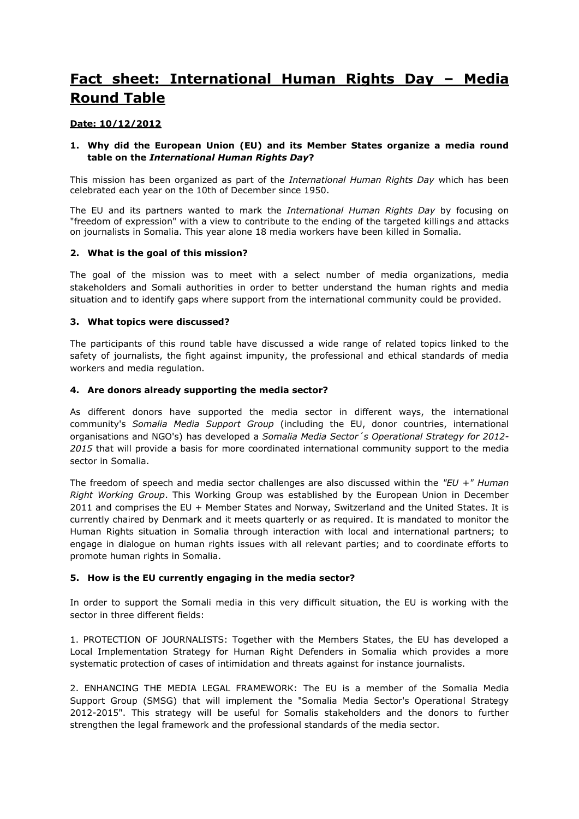# **Fact sheet: International Human Rights Day – Media Round Table**

# **Date: 10/12/2012**

# **1. Why did the European Union (EU) and its Member States organize a media round table on the** *International Human Rights Day***?**

This mission has been organized as part of the *International Human Rights Day* which has been celebrated each year on the 10th of December since 1950.

The EU and its partners wanted to mark the *International Human Rights Day* by focusing on "freedom of expression" with a view to contribute to the ending of the targeted killings and attacks on journalists in Somalia. This year alone 18 media workers have been killed in Somalia.

### **2. What is the goal of this mission?**

The goal of the mission was to meet with a select number of media organizations, media stakeholders and Somali authorities in order to better understand the human rights and media situation and to identify gaps where support from the international community could be provided.

### **3. What topics were discussed?**

The participants of this round table have discussed a wide range of related topics linked to the safety of journalists, the fight against impunity, the professional and ethical standards of media workers and media regulation.

### **4. Are donors already supporting the media sector?**

As different donors have supported the media sector in different ways, the international community's *Somalia Media Support Group* (including the EU, donor countries, international organisations and NGO's) has developed a *Somalia Media Sector´s Operational Strategy for 2012- 2015* that will provide a basis for more coordinated international community support to the media sector in Somalia.

The freedom of speech and media sector challenges are also discussed within the *"EU +" Human Right Working Group*. This Working Group was established by the European Union in December 2011 and comprises the EU + Member States and Norway, Switzerland and the United States. It is currently chaired by Denmark and it meets quarterly or as required. It is mandated to monitor the Human Rights situation in Somalia through interaction with local and international partners; to engage in dialogue on human rights issues with all relevant parties; and to coordinate efforts to promote human rights in Somalia.

# **5. How is the EU currently engaging in the media sector?**

In order to support the Somali media in this very difficult situation, the EU is working with the sector in three different fields:

1. PROTECTION OF JOURNALISTS: Together with the Members States, the EU has developed a Local Implementation Strategy for Human Right Defenders in Somalia which provides a more systematic protection of cases of intimidation and threats against for instance journalists.

2. ENHANCING THE MEDIA LEGAL FRAMEWORK: The EU is a member of the Somalia Media Support Group (SMSG) that will implement the "Somalia Media Sector's Operational Strategy 2012-2015". This strategy will be useful for Somalis stakeholders and the donors to further strengthen the legal framework and the professional standards of the media sector.